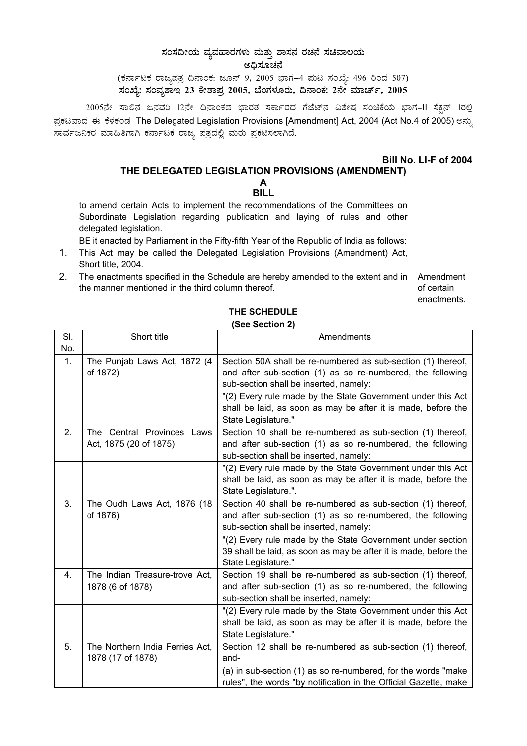# $\,$ ಸಂಸದೀಯ ವ್ಯವಹಾರಗಳು ಮತ್ತು ಶಾಸನ ರಚನೆ ಸಚಿವಾಲಯ

ಅಧಿಸೂಚನೆ

(ಕರ್ನಾಟಕ ರಾಜ್ಯಪತ್ರ ದಿನಾಂಕ: ಜೂನ್ 9, 2005 ಭಾಗ–4 ಮಟ ಸಂಖ್ಯೆ: 496 ರಿಂದ 507) **¸ÀASÉå: ¸ÀAªÀå±ÁE 23 PÉñÁ¥Àæ 2005, ¨ÉAUÀ¼ÀÆgÀÄ, ¢£ÁAPÀ: 2£Éà ªÀiÁZïð, 2005** 

2005ನೇ ಸಾಲಿನ ಜನವರಿ 12ನೇ ದಿನಾಂಕದ ಭಾರತ ಸರ್ಕಾರದ ಗೆಜೆಟ್ನ ವಿಶೇಷ ಸಂಚಿಕೆಯ ಭಾಗ–II ಸೆಕ್ಷನ್ 1ರಲ್ಲಿ ಪ್ರಕಟವಾದ ಈ ಕೆಳಕಂಡ The Delegated Legislation Provisions [Amendment] Act, 2004 (Act No.4 of 2005) ಅನ್ನು ಸಾರ್ವಜನಿಕರ ಮಾಹಿತಿಗಾಗಿ ಕರ್ನಾಟಕ ರಾಜ್ಯ ಪತ್ರದಲ್ಲಿ ಮರು ಪ್ರಕಟಿಸಲಾಗಿದೆ.

**Bill No. LI-F of 2004** 

### **THE DELEGATED LEGISLATION PROVISIONS (AMENDMENT) A BILL**

to amend certain Acts to implement the recommendations of the Committees on Subordinate Legislation regarding publication and laying of rules and other delegated legislation.

BE it enacted by Parliament in the Fifty-fifth Year of the Republic of India as follows:

- 1. This Act may be called the Delegated Legislation Provisions (Amendment) Act, Short title, 2004.
- 2. The enactments specified in the Schedule are hereby amended to the extent and in Amendment the manner mentioned in the third column thereof. of certain

enactments.

## **THE SCHEDULE**

## **(See Section 2)**

| SI.<br>No. | Short title                                             | Amendments                                                                                                                                                           |
|------------|---------------------------------------------------------|----------------------------------------------------------------------------------------------------------------------------------------------------------------------|
| 1.         | The Punjab Laws Act, 1872 (4<br>of 1872)                | Section 50A shall be re-numbered as sub-section (1) thereof,<br>and after sub-section (1) as so re-numbered, the following<br>sub-section shall be inserted, namely: |
|            |                                                         | "(2) Every rule made by the State Government under this Act<br>shall be laid, as soon as may be after it is made, before the<br>State Legislature."                  |
| 2.         | The Central Provinces<br>Laws<br>Act, 1875 (20 of 1875) | Section 10 shall be re-numbered as sub-section (1) thereof,<br>and after sub-section (1) as so re-numbered, the following<br>sub-section shall be inserted, namely:  |
|            |                                                         | "(2) Every rule made by the State Government under this Act<br>shall be laid, as soon as may be after it is made, before the<br>State Legislature.".                 |
| 3.         | The Oudh Laws Act, 1876 (18<br>of 1876)                 | Section 40 shall be re-numbered as sub-section (1) thereof,<br>and after sub-section (1) as so re-numbered, the following<br>sub-section shall be inserted, namely:  |
|            |                                                         | "(2) Every rule made by the State Government under section<br>39 shall be laid, as soon as may be after it is made, before the<br>State Legislature."                |
| 4.         | The Indian Treasure-trove Act,<br>1878 (6 of 1878)      | Section 19 shall be re-numbered as sub-section (1) thereof,<br>and after sub-section (1) as so re-numbered, the following<br>sub-section shall be inserted, namely:  |
|            |                                                         | "(2) Every rule made by the State Government under this Act<br>shall be laid, as soon as may be after it is made, before the<br>State Legislature."                  |
| 5.         | The Northern India Ferries Act,<br>1878 (17 of 1878)    | Section 12 shall be re-numbered as sub-section (1) thereof,<br>and-                                                                                                  |
|            |                                                         | (a) in sub-section (1) as so re-numbered, for the words "make<br>rules", the words "by notification in the Official Gazette, make                                    |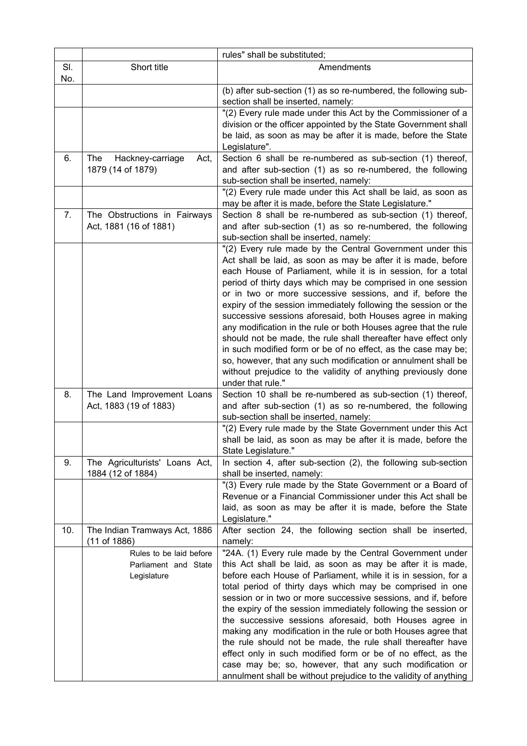|     |                                 | rules" shall be substituted;                                                                                                    |
|-----|---------------------------------|---------------------------------------------------------------------------------------------------------------------------------|
| SI. | Short title                     | Amendments                                                                                                                      |
| No. |                                 |                                                                                                                                 |
|     |                                 | (b) after sub-section (1) as so re-numbered, the following sub-                                                                 |
|     |                                 | section shall be inserted, namely:                                                                                              |
|     |                                 | "(2) Every rule made under this Act by the Commissioner of a                                                                    |
|     |                                 | division or the officer appointed by the State Government shall                                                                 |
|     |                                 | be laid, as soon as may be after it is made, before the State<br>Legislature".                                                  |
| 6.  | The<br>Hackney-carriage<br>Act, | Section 6 shall be re-numbered as sub-section (1) thereof,                                                                      |
|     | 1879 (14 of 1879)               | and after sub-section (1) as so re-numbered, the following                                                                      |
|     |                                 | sub-section shall be inserted, namely:                                                                                          |
|     |                                 | "(2) Every rule made under this Act shall be laid, as soon as                                                                   |
|     |                                 | may be after it is made, before the State Legislature."                                                                         |
| 7.  | The Obstructions in Fairways    | Section 8 shall be re-numbered as sub-section (1) thereof,                                                                      |
|     | Act, 1881 (16 of 1881)          | and after sub-section (1) as so re-numbered, the following                                                                      |
|     |                                 | sub-section shall be inserted, namely:                                                                                          |
|     |                                 | "(2) Every rule made by the Central Government under this<br>Act shall be laid, as soon as may be after it is made, before      |
|     |                                 | each House of Parliament, while it is in session, for a total                                                                   |
|     |                                 | period of thirty days which may be comprised in one session                                                                     |
|     |                                 | or in two or more successive sessions, and if, before the                                                                       |
|     |                                 | expiry of the session immediately following the session or the                                                                  |
|     |                                 | successive sessions aforesaid, both Houses agree in making                                                                      |
|     |                                 | any modification in the rule or both Houses agree that the rule                                                                 |
|     |                                 | should not be made, the rule shall thereafter have effect only                                                                  |
|     |                                 | in such modified form or be of no effect, as the case may be;                                                                   |
|     |                                 | so, however, that any such modification or annulment shall be                                                                   |
|     |                                 | without prejudice to the validity of anything previously done<br>under that rule."                                              |
| 8.  | The Land Improvement Loans      | Section 10 shall be re-numbered as sub-section (1) thereof,                                                                     |
|     | Act, 1883 (19 of 1883)          | and after sub-section (1) as so re-numbered, the following                                                                      |
|     |                                 | sub-section shall be inserted, namely:                                                                                          |
|     |                                 | "(2) Every rule made by the State Government under this Act                                                                     |
|     |                                 | shall be laid, as soon as may be after it is made, before the                                                                   |
|     |                                 | State Legislature."                                                                                                             |
| 9.  | The Agriculturists' Loans Act,  | In section 4, after sub-section (2), the following sub-section                                                                  |
|     | 1884 (12 of 1884)               | shall be inserted, namely:<br>"(3) Every rule made by the State Government or a Board of                                        |
|     |                                 | Revenue or a Financial Commissioner under this Act shall be                                                                     |
|     |                                 | laid, as soon as may be after it is made, before the State                                                                      |
|     |                                 | Legislature."                                                                                                                   |
| 10. | The Indian Tramways Act, 1886   | After section 24, the following section shall be inserted,                                                                      |
|     | $(11$ of $1886)$                | namely:                                                                                                                         |
|     | Rules to be laid before         | "24A. (1) Every rule made by the Central Government under                                                                       |
|     | Parliament and State            | this Act shall be laid, as soon as may be after it is made,                                                                     |
|     | Legislature                     | before each House of Parliament, while it is in session, for a                                                                  |
|     |                                 | total period of thirty days which may be comprised in one                                                                       |
|     |                                 | session or in two or more successive sessions, and if, before<br>the expiry of the session immediately following the session or |
|     |                                 | the successive sessions aforesaid, both Houses agree in                                                                         |
|     |                                 | making any modification in the rule or both Houses agree that                                                                   |
|     |                                 | the rule should not be made, the rule shall thereafter have                                                                     |
|     |                                 | effect only in such modified form or be of no effect, as the                                                                    |
|     |                                 | case may be; so, however, that any such modification or                                                                         |
|     |                                 | annulment shall be without prejudice to the validity of anything                                                                |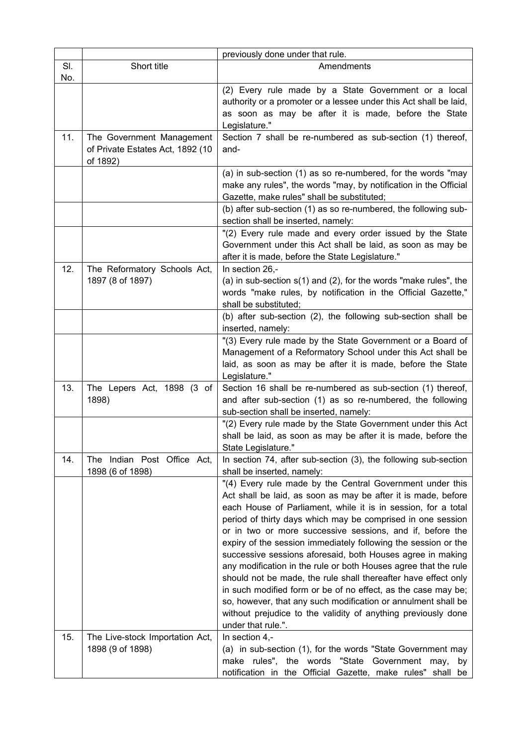|     |                                  | previously done under that rule.                                   |
|-----|----------------------------------|--------------------------------------------------------------------|
| SI. | Short title                      | Amendments                                                         |
| No. |                                  |                                                                    |
|     |                                  | (2) Every rule made by a State Government or a local               |
|     |                                  | authority or a promoter or a lessee under this Act shall be laid,  |
|     |                                  | as soon as may be after it is made, before the State               |
|     |                                  | Legislature."                                                      |
| 11. | The Government Management        | Section 7 shall be re-numbered as sub-section (1) thereof,         |
|     | of Private Estates Act, 1892 (10 | and-                                                               |
|     | of 1892)                         |                                                                    |
|     |                                  | (a) in sub-section (1) as so re-numbered, for the words "may       |
|     |                                  | make any rules", the words "may, by notification in the Official   |
|     |                                  | Gazette, make rules" shall be substituted;                         |
|     |                                  | (b) after sub-section (1) as so re-numbered, the following sub-    |
|     |                                  | section shall be inserted, namely:                                 |
|     |                                  | "(2) Every rule made and every order issued by the State           |
|     |                                  | Government under this Act shall be laid, as soon as may be         |
|     |                                  | after it is made, before the State Legislature."                   |
| 12. | The Reformatory Schools Act,     | In section 26,-                                                    |
|     | 1897 (8 of 1897)                 | (a) in sub-section $s(1)$ and (2), for the words "make rules", the |
|     |                                  | words "make rules, by notification in the Official Gazette,"       |
|     |                                  | shall be substituted;                                              |
|     |                                  | (b) after sub-section (2), the following sub-section shall be      |
|     |                                  | inserted, namely:                                                  |
|     |                                  | "(3) Every rule made by the State Government or a Board of         |
|     |                                  | Management of a Reformatory School under this Act shall be         |
|     |                                  | laid, as soon as may be after it is made, before the State         |
|     |                                  | Legislature."                                                      |
| 13. | The Lepers Act, 1898 (3 of       | Section 16 shall be re-numbered as sub-section (1) thereof,        |
|     | 1898)                            | and after sub-section (1) as so re-numbered, the following         |
|     |                                  | sub-section shall be inserted, namely:                             |
|     |                                  | "(2) Every rule made by the State Government under this Act        |
|     |                                  | shall be laid, as soon as may be after it is made, before the      |
|     |                                  | State Legislature."                                                |
| 14. | The Indian Post Office Act,      | In section 74, after sub-section (3), the following sub-section    |
|     | 1898 (6 of 1898)                 | shall be inserted, namely:                                         |
|     |                                  | "(4) Every rule made by the Central Government under this          |
|     |                                  | Act shall be laid, as soon as may be after it is made, before      |
|     |                                  | each House of Parliament, while it is in session, for a total      |
|     |                                  | period of thirty days which may be comprised in one session        |
|     |                                  | or in two or more successive sessions, and if, before the          |
|     |                                  | expiry of the session immediately following the session or the     |
|     |                                  | successive sessions aforesaid, both Houses agree in making         |
|     |                                  | any modification in the rule or both Houses agree that the rule    |
|     |                                  | should not be made, the rule shall thereafter have effect only     |
|     |                                  | in such modified form or be of no effect, as the case may be;      |
|     |                                  | so, however, that any such modification or annulment shall be      |
|     |                                  | without prejudice to the validity of anything previously done      |
|     |                                  | under that rule.".                                                 |
| 15. | The Live-stock Importation Act,  | In section 4,-                                                     |
|     | 1898 (9 of 1898)                 | (a) in sub-section (1), for the words "State Government may        |
|     |                                  | make rules", the words "State Government may,<br>by                |
|     |                                  | notification in the Official Gazette, make rules" shall be         |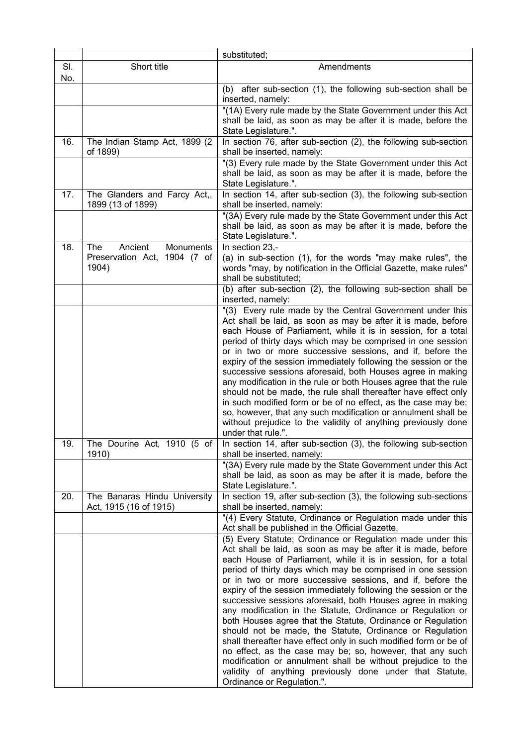|            |                                                                             | substituted;                                                                                                                                                                                                                                                                                                                                                                                                                                                                                                                                                                                                                                                                                                                                                                                                                                                                   |
|------------|-----------------------------------------------------------------------------|--------------------------------------------------------------------------------------------------------------------------------------------------------------------------------------------------------------------------------------------------------------------------------------------------------------------------------------------------------------------------------------------------------------------------------------------------------------------------------------------------------------------------------------------------------------------------------------------------------------------------------------------------------------------------------------------------------------------------------------------------------------------------------------------------------------------------------------------------------------------------------|
| SI.<br>No. | Short title                                                                 | Amendments                                                                                                                                                                                                                                                                                                                                                                                                                                                                                                                                                                                                                                                                                                                                                                                                                                                                     |
|            |                                                                             | (b) after sub-section (1), the following sub-section shall be<br>inserted, namely:                                                                                                                                                                                                                                                                                                                                                                                                                                                                                                                                                                                                                                                                                                                                                                                             |
|            |                                                                             | "(1A) Every rule made by the State Government under this Act<br>shall be laid, as soon as may be after it is made, before the<br>State Legislature.".                                                                                                                                                                                                                                                                                                                                                                                                                                                                                                                                                                                                                                                                                                                          |
| 16.        | The Indian Stamp Act, 1899 (2<br>of 1899)                                   | In section 76, after sub-section (2), the following sub-section<br>shall be inserted, namely:                                                                                                                                                                                                                                                                                                                                                                                                                                                                                                                                                                                                                                                                                                                                                                                  |
|            |                                                                             | "(3) Every rule made by the State Government under this Act<br>shall be laid, as soon as may be after it is made, before the<br>State Legislature.".                                                                                                                                                                                                                                                                                                                                                                                                                                                                                                                                                                                                                                                                                                                           |
| 17.        | The Glanders and Farcy Act,,<br>1899 (13 of 1899)                           | In section 14, after sub-section (3), the following sub-section<br>shall be inserted, namely:                                                                                                                                                                                                                                                                                                                                                                                                                                                                                                                                                                                                                                                                                                                                                                                  |
|            |                                                                             | "(3A) Every rule made by the State Government under this Act<br>shall be laid, as soon as may be after it is made, before the<br>State Legislature.".                                                                                                                                                                                                                                                                                                                                                                                                                                                                                                                                                                                                                                                                                                                          |
| 18.        | Ancient<br>Monuments<br><b>The</b><br>Preservation Act, 1904 (7 of<br>1904) | In section 23,-<br>(a) in sub-section (1), for the words "may make rules", the<br>words "may, by notification in the Official Gazette, make rules"<br>shall be substituted:                                                                                                                                                                                                                                                                                                                                                                                                                                                                                                                                                                                                                                                                                                    |
|            |                                                                             | (b) after sub-section (2), the following sub-section shall be<br>inserted, namely:                                                                                                                                                                                                                                                                                                                                                                                                                                                                                                                                                                                                                                                                                                                                                                                             |
|            |                                                                             | "(3) Every rule made by the Central Government under this<br>Act shall be laid, as soon as may be after it is made, before<br>each House of Parliament, while it is in session, for a total<br>period of thirty days which may be comprised in one session<br>or in two or more successive sessions, and if, before the<br>expiry of the session immediately following the session or the<br>successive sessions aforesaid, both Houses agree in making<br>any modification in the rule or both Houses agree that the rule<br>should not be made, the rule shall thereafter have effect only<br>in such modified form or be of no effect, as the case may be;<br>so, however, that any such modification or annulment shall be<br>without prejudice to the validity of anything previously done<br>under that rule.".                                                          |
| 19.        | The Dourine Act, 1910 (5 of<br>1910)                                        | In section 14, after sub-section (3), the following sub-section<br>shall be inserted, namely:                                                                                                                                                                                                                                                                                                                                                                                                                                                                                                                                                                                                                                                                                                                                                                                  |
|            |                                                                             | "(3A) Every rule made by the State Government under this Act<br>shall be laid, as soon as may be after it is made, before the<br>State Legislature.".                                                                                                                                                                                                                                                                                                                                                                                                                                                                                                                                                                                                                                                                                                                          |
| 20.        | The Banaras Hindu University<br>Act, 1915 (16 of 1915)                      | In section 19, after sub-section (3), the following sub-sections<br>shall be inserted, namely:                                                                                                                                                                                                                                                                                                                                                                                                                                                                                                                                                                                                                                                                                                                                                                                 |
|            |                                                                             | "(4) Every Statute, Ordinance or Regulation made under this<br>Act shall be published in the Official Gazette.<br>(5) Every Statute; Ordinance or Regulation made under this                                                                                                                                                                                                                                                                                                                                                                                                                                                                                                                                                                                                                                                                                                   |
|            |                                                                             | Act shall be laid, as soon as may be after it is made, before<br>each House of Parliament, while it is in session, for a total<br>period of thirty days which may be comprised in one session<br>or in two or more successive sessions, and if, before the<br>expiry of the session immediately following the session or the<br>successive sessions aforesaid, both Houses agree in making<br>any modification in the Statute, Ordinance or Regulation or<br>both Houses agree that the Statute, Ordinance or Regulation<br>should not be made, the Statute, Ordinance or Regulation<br>shall thereafter have effect only in such modified form or be of<br>no effect, as the case may be; so, however, that any such<br>modification or annulment shall be without prejudice to the<br>validity of anything previously done under that Statute,<br>Ordinance or Regulation.". |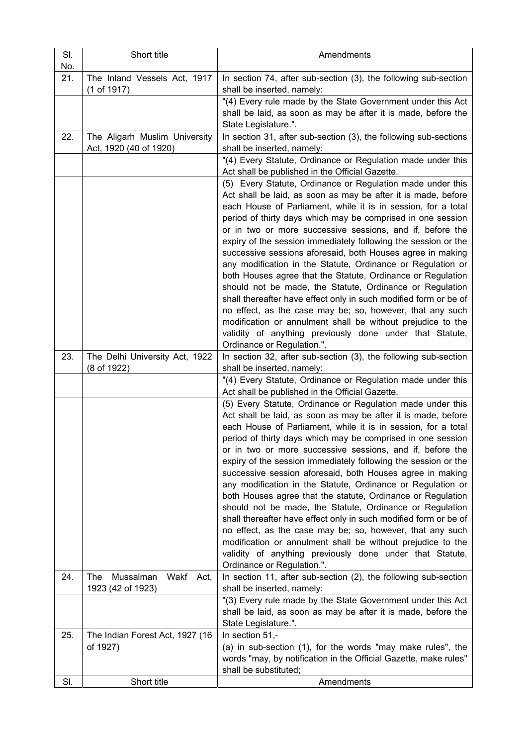| SI.<br>No. | Short title                                 | Amendments                                                                                                                      |
|------------|---------------------------------------------|---------------------------------------------------------------------------------------------------------------------------------|
| 21.        | The Inland Vessels Act, 1917<br>(1 of 1917) | In section 74, after sub-section (3), the following sub-section<br>shall be inserted, namely:                                   |
|            |                                             | "(4) Every rule made by the State Government under this Act                                                                     |
|            |                                             | shall be laid, as soon as may be after it is made, before the                                                                   |
|            |                                             | State Legislature.".                                                                                                            |
| 22.        | The Aligarh Muslim University               | In section 31, after sub-section (3), the following sub-sections                                                                |
|            | Act, 1920 (40 of 1920)                      | shall be inserted, namely:                                                                                                      |
|            |                                             | "(4) Every Statute, Ordinance or Regulation made under this<br>Act shall be published in the Official Gazette.                  |
|            |                                             | (5) Every Statute, Ordinance or Regulation made under this                                                                      |
|            |                                             | Act shall be laid, as soon as may be after it is made, before                                                                   |
|            |                                             | each House of Parliament, while it is in session, for a total                                                                   |
|            |                                             | period of thirty days which may be comprised in one session                                                                     |
|            |                                             | or in two or more successive sessions, and if, before the                                                                       |
|            |                                             | expiry of the session immediately following the session or the                                                                  |
|            |                                             | successive sessions aforesaid, both Houses agree in making                                                                      |
|            |                                             | any modification in the Statute, Ordinance or Regulation or                                                                     |
|            |                                             | both Houses agree that the Statute, Ordinance or Regulation                                                                     |
|            |                                             | should not be made, the Statute, Ordinance or Regulation                                                                        |
|            |                                             | shall thereafter have effect only in such modified form or be of<br>no effect, as the case may be; so, however, that any such   |
|            |                                             | modification or annulment shall be without prejudice to the                                                                     |
|            |                                             | validity of anything previously done under that Statute,                                                                        |
|            |                                             | Ordinance or Regulation.".                                                                                                      |
| 23.        | The Delhi University Act, 1922              | In section 32, after sub-section (3), the following sub-section                                                                 |
|            | (8 of 1922)                                 | shall be inserted, namely:                                                                                                      |
|            |                                             | "(4) Every Statute, Ordinance or Regulation made under this                                                                     |
|            |                                             | Act shall be published in the Official Gazette.                                                                                 |
|            |                                             | (5) Every Statute, Ordinance or Regulation made under this<br>Act shall be laid, as soon as may be after it is made, before     |
|            |                                             | each House of Parliament, while it is in session, for a total                                                                   |
|            |                                             | period of thirty days which may be comprised in one session                                                                     |
|            |                                             | or in two or more successive sessions, and if, before the                                                                       |
|            |                                             | expiry of the session immediately following the session or the                                                                  |
|            |                                             | successive session aforesaid, both Houses agree in making                                                                       |
|            |                                             | any modification in the Statute, Ordinance or Regulation or                                                                     |
|            |                                             | both Houses agree that the statute, Ordinance or Regulation                                                                     |
|            |                                             | should not be made, the Statute, Ordinance or Regulation                                                                        |
|            |                                             | shall thereafter have effect only in such modified form or be of<br>no effect, as the case may be; so, however, that any such   |
|            |                                             | modification or annulment shall be without prejudice to the                                                                     |
|            |                                             | validity of anything previously done under that Statute,                                                                        |
|            |                                             | Ordinance or Regulation.".                                                                                                      |
| 24.        | The<br>Mussalman<br>Wakf<br>Act,            | In section 11, after sub-section (2), the following sub-section                                                                 |
|            | 1923 (42 of 1923)                           | shall be inserted, namely:                                                                                                      |
|            |                                             | "(3) Every rule made by the State Government under this Act                                                                     |
|            |                                             | shall be laid, as soon as may be after it is made, before the                                                                   |
|            |                                             | State Legislature.".                                                                                                            |
| 25.        | The Indian Forest Act, 1927 (16<br>of 1927) | In section 51,-                                                                                                                 |
|            |                                             | (a) in sub-section (1), for the words "may make rules", the<br>words "may, by notification in the Official Gazette, make rules" |
|            |                                             | shall be substituted;                                                                                                           |
| SI.        | Short title                                 | Amendments                                                                                                                      |
|            |                                             |                                                                                                                                 |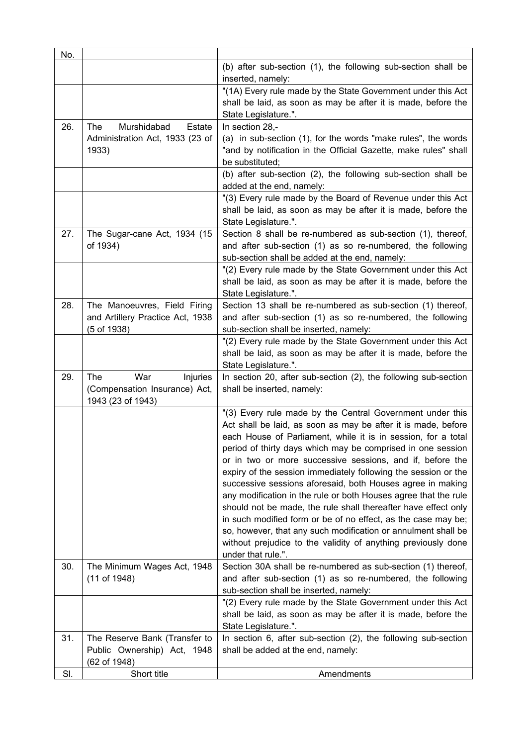| No. |                                                                                     |                                                                                                                                                                                                                                                                                                                                                                                                                                                                                                                                                                                                                                                                                                                                                                                                                       |
|-----|-------------------------------------------------------------------------------------|-----------------------------------------------------------------------------------------------------------------------------------------------------------------------------------------------------------------------------------------------------------------------------------------------------------------------------------------------------------------------------------------------------------------------------------------------------------------------------------------------------------------------------------------------------------------------------------------------------------------------------------------------------------------------------------------------------------------------------------------------------------------------------------------------------------------------|
|     |                                                                                     | (b) after sub-section (1), the following sub-section shall be<br>inserted, namely:                                                                                                                                                                                                                                                                                                                                                                                                                                                                                                                                                                                                                                                                                                                                    |
|     |                                                                                     | "(1A) Every rule made by the State Government under this Act<br>shall be laid, as soon as may be after it is made, before the<br>State Legislature.".                                                                                                                                                                                                                                                                                                                                                                                                                                                                                                                                                                                                                                                                 |
| 26. | Murshidabad<br><b>The</b><br>Estate<br>Administration Act, 1933 (23 of<br>1933)     | In section 28,-<br>(a) in sub-section (1), for the words "make rules", the words<br>"and by notification in the Official Gazette, make rules" shall<br>be substituted;                                                                                                                                                                                                                                                                                                                                                                                                                                                                                                                                                                                                                                                |
|     |                                                                                     | (b) after sub-section (2), the following sub-section shall be<br>added at the end, namely:                                                                                                                                                                                                                                                                                                                                                                                                                                                                                                                                                                                                                                                                                                                            |
|     |                                                                                     | "(3) Every rule made by the Board of Revenue under this Act<br>shall be laid, as soon as may be after it is made, before the<br>State Legislature.".                                                                                                                                                                                                                                                                                                                                                                                                                                                                                                                                                                                                                                                                  |
| 27. | The Sugar-cane Act, 1934 (15<br>of 1934)                                            | Section 8 shall be re-numbered as sub-section (1), thereof,<br>and after sub-section (1) as so re-numbered, the following<br>sub-section shall be added at the end, namely:                                                                                                                                                                                                                                                                                                                                                                                                                                                                                                                                                                                                                                           |
|     |                                                                                     | "(2) Every rule made by the State Government under this Act<br>shall be laid, as soon as may be after it is made, before the<br>State Legislature.".                                                                                                                                                                                                                                                                                                                                                                                                                                                                                                                                                                                                                                                                  |
| 28. | The Manoeuvres, Field Firing<br>and Artillery Practice Act, 1938<br>(5 of 1938)     | Section 13 shall be re-numbered as sub-section (1) thereof,<br>and after sub-section (1) as so re-numbered, the following<br>sub-section shall be inserted, namely:                                                                                                                                                                                                                                                                                                                                                                                                                                                                                                                                                                                                                                                   |
|     |                                                                                     | "(2) Every rule made by the State Government under this Act<br>shall be laid, as soon as may be after it is made, before the<br>State Legislature.".                                                                                                                                                                                                                                                                                                                                                                                                                                                                                                                                                                                                                                                                  |
| 29. | War<br><b>The</b><br>Injuries<br>(Compensation Insurance) Act,<br>1943 (23 of 1943) | In section 20, after sub-section (2), the following sub-section<br>shall be inserted, namely:                                                                                                                                                                                                                                                                                                                                                                                                                                                                                                                                                                                                                                                                                                                         |
|     |                                                                                     | "(3) Every rule made by the Central Government under this<br>Act shall be laid, as soon as may be after it is made, before<br>each House of Parliament, while it is in session, for a total<br>period of thirty days which may be comprised in one session<br>or in two or more successive sessions, and if, before the<br>expiry of the session immediately following the session or the<br>successive sessions aforesaid, both Houses agree in making<br>any modification in the rule or both Houses agree that the rule<br>should not be made, the rule shall thereafter have effect only<br>in such modified form or be of no effect, as the case may be;<br>so, however, that any such modification or annulment shall be<br>without prejudice to the validity of anything previously done<br>under that rule.". |
| 30. | The Minimum Wages Act, 1948<br>(11 of 1948)                                         | Section 30A shall be re-numbered as sub-section (1) thereof,<br>and after sub-section (1) as so re-numbered, the following<br>sub-section shall be inserted, namely:                                                                                                                                                                                                                                                                                                                                                                                                                                                                                                                                                                                                                                                  |
|     |                                                                                     | "(2) Every rule made by the State Government under this Act<br>shall be laid, as soon as may be after it is made, before the<br>State Legislature.".                                                                                                                                                                                                                                                                                                                                                                                                                                                                                                                                                                                                                                                                  |
| 31. | The Reserve Bank (Transfer to<br>Public Ownership) Act, 1948<br>(62 of 1948)        | In section 6, after sub-section (2), the following sub-section<br>shall be added at the end, namely:                                                                                                                                                                                                                                                                                                                                                                                                                                                                                                                                                                                                                                                                                                                  |
| SI. | Short title                                                                         | Amendments                                                                                                                                                                                                                                                                                                                                                                                                                                                                                                                                                                                                                                                                                                                                                                                                            |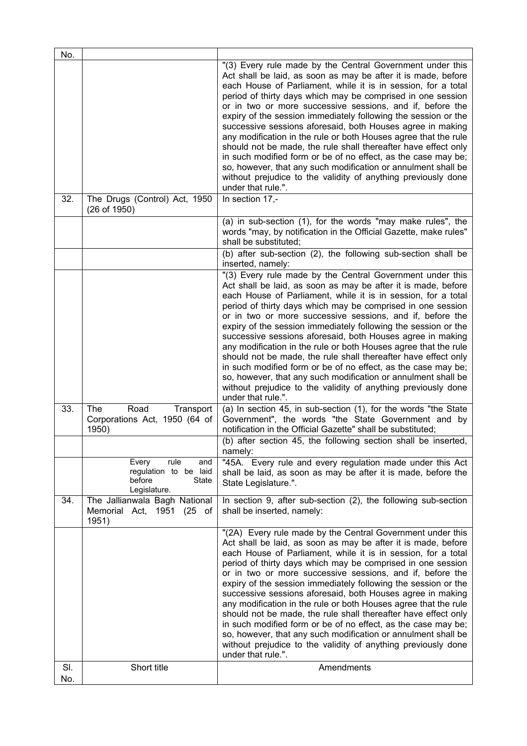| No.        |                                                                                  |                                                                                                                                                                                                                                                                                                                                                                                                                                                                                                                                                                                                                                                                                                                                                                                                                        |
|------------|----------------------------------------------------------------------------------|------------------------------------------------------------------------------------------------------------------------------------------------------------------------------------------------------------------------------------------------------------------------------------------------------------------------------------------------------------------------------------------------------------------------------------------------------------------------------------------------------------------------------------------------------------------------------------------------------------------------------------------------------------------------------------------------------------------------------------------------------------------------------------------------------------------------|
|            |                                                                                  | "(3) Every rule made by the Central Government under this<br>Act shall be laid, as soon as may be after it is made, before<br>each House of Parliament, while it is in session, for a total<br>period of thirty days which may be comprised in one session<br>or in two or more successive sessions, and if, before the<br>expiry of the session immediately following the session or the<br>successive sessions aforesaid, both Houses agree in making<br>any modification in the rule or both Houses agree that the rule<br>should not be made, the rule shall thereafter have effect only<br>in such modified form or be of no effect, as the case may be;<br>so, however, that any such modification or annulment shall be<br>without prejudice to the validity of anything previously done<br>under that rule.".  |
| 32.        | The Drugs (Control) Act, 1950<br>(26 of 1950)                                    | In section 17,-                                                                                                                                                                                                                                                                                                                                                                                                                                                                                                                                                                                                                                                                                                                                                                                                        |
|            |                                                                                  | (a) in sub-section (1), for the words "may make rules", the<br>words "may, by notification in the Official Gazette, make rules"<br>shall be substituted;                                                                                                                                                                                                                                                                                                                                                                                                                                                                                                                                                                                                                                                               |
|            |                                                                                  | (b) after sub-section (2), the following sub-section shall be<br>inserted, namely:                                                                                                                                                                                                                                                                                                                                                                                                                                                                                                                                                                                                                                                                                                                                     |
|            |                                                                                  | "(3) Every rule made by the Central Government under this<br>Act shall be laid, as soon as may be after it is made, before<br>each House of Parliament, while it is in session, for a total<br>period of thirty days which may be comprised in one session<br>or in two or more successive sessions, and if, before the<br>expiry of the session immediately following the session or the<br>successive sessions aforesaid, both Houses agree in making<br>any modification in the rule or both Houses agree that the rule<br>should not be made, the rule shall thereafter have effect only<br>in such modified form or be of no effect, as the case may be;<br>so, however, that any such modification or annulment shall be<br>without prejudice to the validity of anything previously done<br>under that rule.".  |
| 33.        | Road<br><b>The</b><br>Transport<br>Corporations Act, 1950 (64 of<br>1950)        | (a) In section 45, in sub-section (1), for the words "the State<br>Government", the words "the State Government and by<br>notification in the Official Gazette" shall be substituted;                                                                                                                                                                                                                                                                                                                                                                                                                                                                                                                                                                                                                                  |
|            |                                                                                  | (b) after section 45, the following section shall be inserted,<br>namely:                                                                                                                                                                                                                                                                                                                                                                                                                                                                                                                                                                                                                                                                                                                                              |
|            | Every<br>rule<br>and<br>regulation to be laid<br>before<br>State<br>Legislature. | "45A. Every rule and every regulation made under this Act<br>shall be laid, as soon as may be after it is made, before the<br>State Legislature.".                                                                                                                                                                                                                                                                                                                                                                                                                                                                                                                                                                                                                                                                     |
| 34.        | The Jallianwala Bagh National<br>Memorial Act, 1951 (25 of<br>1951)              | In section 9, after sub-section (2), the following sub-section<br>shall be inserted, namely:                                                                                                                                                                                                                                                                                                                                                                                                                                                                                                                                                                                                                                                                                                                           |
|            |                                                                                  | "(2A) Every rule made by the Central Government under this<br>Act shall be laid, as soon as may be after it is made, before<br>each House of Parliament, while it is in session, for a total<br>period of thirty days which may be comprised in one session<br>or in two or more successive sessions, and if, before the<br>expiry of the session immediately following the session or the<br>successive sessions aforesaid, both Houses agree in making<br>any modification in the rule or both Houses agree that the rule<br>should not be made, the rule shall thereafter have effect only<br>in such modified form or be of no effect, as the case may be;<br>so, however, that any such modification or annulment shall be<br>without prejudice to the validity of anything previously done<br>under that rule.". |
| SI.<br>No. | Short title                                                                      | Amendments                                                                                                                                                                                                                                                                                                                                                                                                                                                                                                                                                                                                                                                                                                                                                                                                             |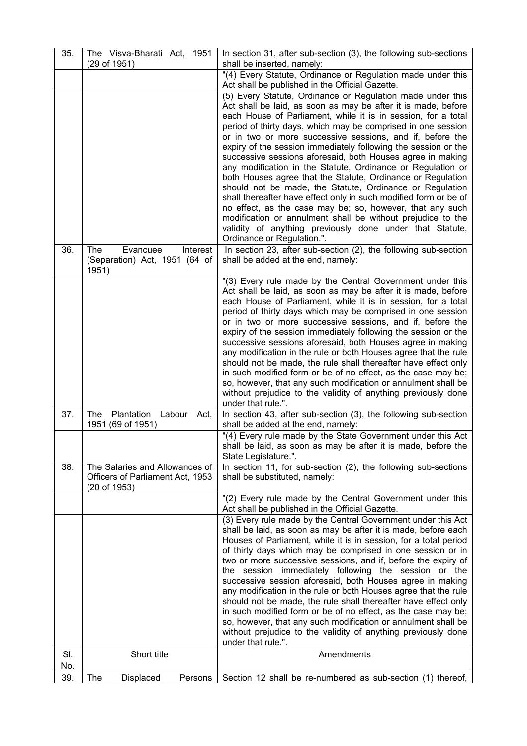| 35.        | The Visva-Bharati Act, 1951<br>(29 of 1951)                                        | In section 31, after sub-section (3), the following sub-sections<br>shall be inserted, namely:                                                                                                                                                                                                                                                                                                                                                                                                                                                                                                                                                                                                                                                                                                                                                                                                                                                |
|------------|------------------------------------------------------------------------------------|-----------------------------------------------------------------------------------------------------------------------------------------------------------------------------------------------------------------------------------------------------------------------------------------------------------------------------------------------------------------------------------------------------------------------------------------------------------------------------------------------------------------------------------------------------------------------------------------------------------------------------------------------------------------------------------------------------------------------------------------------------------------------------------------------------------------------------------------------------------------------------------------------------------------------------------------------|
|            |                                                                                    | "(4) Every Statute, Ordinance or Regulation made under this<br>Act shall be published in the Official Gazette.                                                                                                                                                                                                                                                                                                                                                                                                                                                                                                                                                                                                                                                                                                                                                                                                                                |
|            |                                                                                    | (5) Every Statute, Ordinance or Regulation made under this<br>Act shall be laid, as soon as may be after it is made, before<br>each House of Parliament, while it is in session, for a total<br>period of thirty days, which may be comprised in one session<br>or in two or more successive sessions, and if, before the<br>expiry of the session immediately following the session or the<br>successive sessions aforesaid, both Houses agree in making<br>any modification in the Statute, Ordinance or Regulation or<br>both Houses agree that the Statute, Ordinance or Regulation<br>should not be made, the Statute, Ordinance or Regulation<br>shall thereafter have effect only in such modified form or be of<br>no effect, as the case may be; so, however, that any such<br>modification or annulment shall be without prejudice to the<br>validity of anything previously done under that Statute,<br>Ordinance or Regulation.". |
| 36.        | The<br>Evancuee<br>Interest<br>(Separation) Act, 1951 (64 of<br>1951)              | In section 23, after sub-section (2), the following sub-section<br>shall be added at the end, namely:                                                                                                                                                                                                                                                                                                                                                                                                                                                                                                                                                                                                                                                                                                                                                                                                                                         |
|            |                                                                                    | "(3) Every rule made by the Central Government under this<br>Act shall be laid, as soon as may be after it is made, before<br>each House of Parliament, while it is in session, for a total<br>period of thirty days which may be comprised in one session<br>or in two or more successive sessions, and if, before the<br>expiry of the session immediately following the session or the<br>successive sessions aforesaid, both Houses agree in making<br>any modification in the rule or both Houses agree that the rule<br>should not be made, the rule shall thereafter have effect only<br>in such modified form or be of no effect, as the case may be;<br>so, however, that any such modification or annulment shall be<br>without prejudice to the validity of anything previously done<br>under that rule.".                                                                                                                         |
| 37.        | Plantation<br>Labour<br>The<br>Act,<br>1951 (69 of 1951)                           | In section 43, after sub-section (3), the following sub-section<br>shall be added at the end, namely:                                                                                                                                                                                                                                                                                                                                                                                                                                                                                                                                                                                                                                                                                                                                                                                                                                         |
|            |                                                                                    | "(4) Every rule made by the State Government under this Act<br>shall be laid, as soon as may be after it is made, before the<br>State Legislature.".                                                                                                                                                                                                                                                                                                                                                                                                                                                                                                                                                                                                                                                                                                                                                                                          |
| 38.        | The Salaries and Allowances of<br>Officers of Parliament Act, 1953<br>(20 of 1953) | In section 11, for sub-section (2), the following sub-sections<br>shall be substituted, namely:                                                                                                                                                                                                                                                                                                                                                                                                                                                                                                                                                                                                                                                                                                                                                                                                                                               |
|            |                                                                                    | "(2) Every rule made by the Central Government under this<br>Act shall be published in the Official Gazette.                                                                                                                                                                                                                                                                                                                                                                                                                                                                                                                                                                                                                                                                                                                                                                                                                                  |
|            |                                                                                    | (3) Every rule made by the Central Government under this Act<br>shall be laid, as soon as may be after it is made, before each<br>Houses of Parliament, while it is in session, for a total period<br>of thirty days which may be comprised in one session or in<br>two or more successive sessions, and if, before the expiry of<br>the session immediately following the session or the<br>successive session aforesaid, both Houses agree in making<br>any modification in the rule or both Houses agree that the rule<br>should not be made, the rule shall thereafter have effect only<br>in such modified form or be of no effect, as the case may be;<br>so, however, that any such modification or annulment shall be<br>without prejudice to the validity of anything previously done<br>under that rule.".                                                                                                                          |
| SI.<br>No. | Short title                                                                        | Amendments                                                                                                                                                                                                                                                                                                                                                                                                                                                                                                                                                                                                                                                                                                                                                                                                                                                                                                                                    |
| 39.        | The<br>Displaced<br>Persons                                                        | Section 12 shall be re-numbered as sub-section (1) thereof,                                                                                                                                                                                                                                                                                                                                                                                                                                                                                                                                                                                                                                                                                                                                                                                                                                                                                   |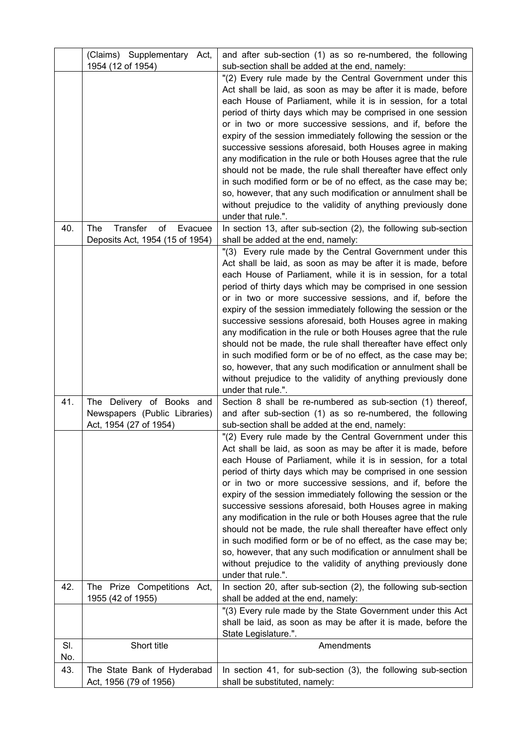|            | (Claims) Supplementary Act,                      | and after sub-section (1) as so re-numbered, the following                                                                        |
|------------|--------------------------------------------------|-----------------------------------------------------------------------------------------------------------------------------------|
|            | 1954 (12 of 1954)                                | sub-section shall be added at the end, namely:                                                                                    |
|            |                                                  | "(2) Every rule made by the Central Government under this<br>Act shall be laid, as soon as may be after it is made, before        |
|            |                                                  | each House of Parliament, while it is in session, for a total                                                                     |
|            |                                                  | period of thirty days which may be comprised in one session                                                                       |
|            |                                                  | or in two or more successive sessions, and if, before the                                                                         |
|            |                                                  | expiry of the session immediately following the session or the                                                                    |
|            |                                                  | successive sessions aforesaid, both Houses agree in making                                                                        |
|            |                                                  | any modification in the rule or both Houses agree that the rule                                                                   |
|            |                                                  | should not be made, the rule shall thereafter have effect only<br>in such modified form or be of no effect, as the case may be;   |
|            |                                                  | so, however, that any such modification or annulment shall be                                                                     |
|            |                                                  | without prejudice to the validity of anything previously done                                                                     |
|            |                                                  | under that rule.".                                                                                                                |
| 40.        | Transfer<br>The<br>of<br>Evacuee                 | In section 13, after sub-section (2), the following sub-section                                                                   |
|            | Deposits Act, 1954 (15 of 1954)                  | shall be added at the end, namely:<br>"(3) Every rule made by the Central Government under this                                   |
|            |                                                  | Act shall be laid, as soon as may be after it is made, before                                                                     |
|            |                                                  | each House of Parliament, while it is in session, for a total                                                                     |
|            |                                                  | period of thirty days which may be comprised in one session                                                                       |
|            |                                                  | or in two or more successive sessions, and if, before the                                                                         |
|            |                                                  | expiry of the session immediately following the session or the                                                                    |
|            |                                                  | successive sessions aforesaid, both Houses agree in making                                                                        |
|            |                                                  | any modification in the rule or both Houses agree that the rule                                                                   |
|            |                                                  | should not be made, the rule shall thereafter have effect only<br>in such modified form or be of no effect, as the case may be;   |
|            |                                                  | so, however, that any such modification or annulment shall be                                                                     |
|            |                                                  | without prejudice to the validity of anything previously done                                                                     |
|            |                                                  | under that rule.".                                                                                                                |
| 41.        | The Delivery of Books and                        | Section 8 shall be re-numbered as sub-section (1) thereof,                                                                        |
|            | Newspapers (Public Libraries)                    | and after sub-section (1) as so re-numbered, the following                                                                        |
|            | Act, 1954 (27 of 1954)                           | sub-section shall be added at the end, namely:<br>"(2) Every rule made by the Central Government under this                       |
|            |                                                  | Act shall be laid, as soon as may be after it is made, before                                                                     |
|            |                                                  | each House of Parliament, while it is in session, for a total                                                                     |
|            |                                                  | period of thirty days which may be comprised in one session                                                                       |
|            |                                                  | or in two or more successive sessions, and if, before the                                                                         |
|            |                                                  | expiry of the session immediately following the session or the                                                                    |
|            |                                                  | successive sessions aforesaid, both Houses agree in making                                                                        |
|            |                                                  | any modification in the rule or both Houses agree that the rule<br>should not be made, the rule shall thereafter have effect only |
|            |                                                  | in such modified form or be of no effect, as the case may be;                                                                     |
|            |                                                  | so, however, that any such modification or annulment shall be                                                                     |
|            |                                                  | without prejudice to the validity of anything previously done                                                                     |
|            |                                                  | under that rule.".                                                                                                                |
| 42.        | The Prize Competitions Act,<br>1955 (42 of 1955) | In section 20, after sub-section (2), the following sub-section<br>shall be added at the end, namely:                             |
|            |                                                  | "(3) Every rule made by the State Government under this Act                                                                       |
|            |                                                  | shall be laid, as soon as may be after it is made, before the                                                                     |
|            |                                                  | State Legislature.".                                                                                                              |
| SI.<br>No. | Short title                                      | Amendments                                                                                                                        |
| 43.        | The State Bank of Hyderabad                      | In section 41, for sub-section (3), the following sub-section                                                                     |
|            | Act, 1956 (79 of 1956)                           | shall be substituted, namely:                                                                                                     |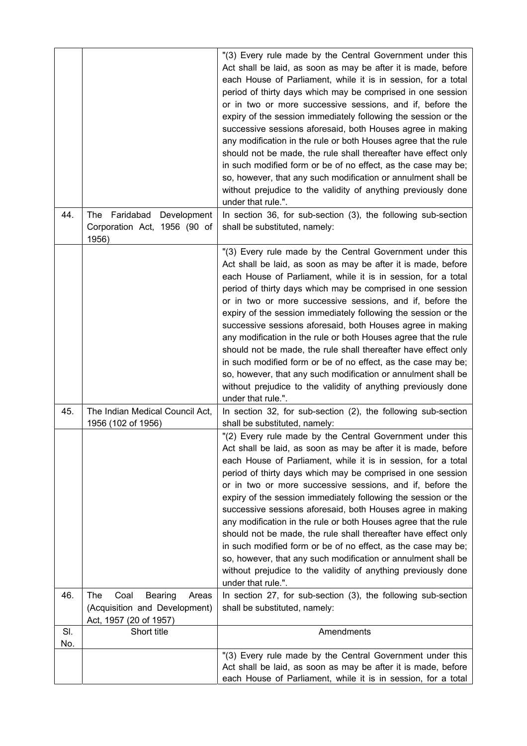| 44.        | The Faridabad Development                                                                         | "(3) Every rule made by the Central Government under this<br>Act shall be laid, as soon as may be after it is made, before<br>each House of Parliament, while it is in session, for a total<br>period of thirty days which may be comprised in one session<br>or in two or more successive sessions, and if, before the<br>expiry of the session immediately following the session or the<br>successive sessions aforesaid, both Houses agree in making<br>any modification in the rule or both Houses agree that the rule<br>should not be made, the rule shall thereafter have effect only<br>in such modified form or be of no effect, as the case may be;<br>so, however, that any such modification or annulment shall be<br>without prejudice to the validity of anything previously done<br>under that rule.".<br>In section 36, for sub-section (3), the following sub-section |
|------------|---------------------------------------------------------------------------------------------------|----------------------------------------------------------------------------------------------------------------------------------------------------------------------------------------------------------------------------------------------------------------------------------------------------------------------------------------------------------------------------------------------------------------------------------------------------------------------------------------------------------------------------------------------------------------------------------------------------------------------------------------------------------------------------------------------------------------------------------------------------------------------------------------------------------------------------------------------------------------------------------------|
|            | Corporation Act, 1956 (90 of<br>1956)                                                             | shall be substituted, namely:                                                                                                                                                                                                                                                                                                                                                                                                                                                                                                                                                                                                                                                                                                                                                                                                                                                          |
|            |                                                                                                   | "(3) Every rule made by the Central Government under this<br>Act shall be laid, as soon as may be after it is made, before<br>each House of Parliament, while it is in session, for a total<br>period of thirty days which may be comprised in one session<br>or in two or more successive sessions, and if, before the<br>expiry of the session immediately following the session or the<br>successive sessions aforesaid, both Houses agree in making<br>any modification in the rule or both Houses agree that the rule<br>should not be made, the rule shall thereafter have effect only<br>in such modified form or be of no effect, as the case may be;<br>so, however, that any such modification or annulment shall be<br>without prejudice to the validity of anything previously done<br>under that rule.".                                                                  |
| 45.        | The Indian Medical Council Act,<br>1956 (102 of 1956)                                             | In section 32, for sub-section (2), the following sub-section<br>shall be substituted, namely:                                                                                                                                                                                                                                                                                                                                                                                                                                                                                                                                                                                                                                                                                                                                                                                         |
|            |                                                                                                   | "(2) Every rule made by the Central Government under this<br>Act shall be laid, as soon as may be after it is made, before<br>each House of Parliament, while it is in session, for a total<br>period of thirty days which may be comprised in one session<br>or in two or more successive sessions, and if, before the<br>expiry of the session immediately following the session or the<br>successive sessions aforesaid, both Houses agree in making<br>any modification in the rule or both Houses agree that the rule<br>should not be made, the rule shall thereafter have effect only<br>in such modified form or be of no effect, as the case may be;<br>so, however, that any such modification or annulment shall be<br>without prejudice to the validity of anything previously done<br>under that rule.".                                                                  |
| 46.        | Coal<br>The<br><b>Bearing</b><br>Areas<br>(Acquisition and Development)<br>Act, 1957 (20 of 1957) | In section 27, for sub-section (3), the following sub-section<br>shall be substituted, namely:                                                                                                                                                                                                                                                                                                                                                                                                                                                                                                                                                                                                                                                                                                                                                                                         |
| SI.<br>No. | Short title                                                                                       | Amendments                                                                                                                                                                                                                                                                                                                                                                                                                                                                                                                                                                                                                                                                                                                                                                                                                                                                             |
|            |                                                                                                   | "(3) Every rule made by the Central Government under this<br>Act shall be laid, as soon as may be after it is made, before<br>each House of Parliament, while it is in session, for a total                                                                                                                                                                                                                                                                                                                                                                                                                                                                                                                                                                                                                                                                                            |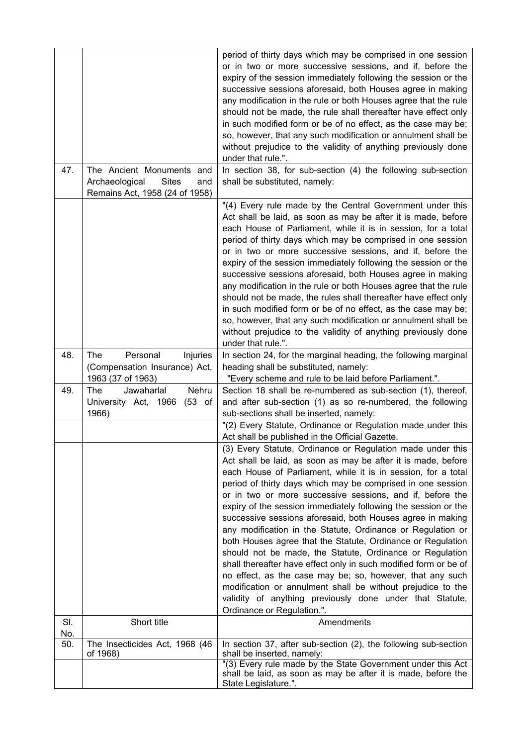|            |                                            | period of thirty days which may be comprised in one session                                                                  |
|------------|--------------------------------------------|------------------------------------------------------------------------------------------------------------------------------|
|            |                                            | or in two or more successive sessions, and if, before the                                                                    |
|            |                                            | expiry of the session immediately following the session or the                                                               |
|            |                                            | successive sessions aforesaid, both Houses agree in making                                                                   |
|            |                                            | any modification in the rule or both Houses agree that the rule                                                              |
|            |                                            | should not be made, the rule shall thereafter have effect only                                                               |
|            |                                            | in such modified form or be of no effect, as the case may be;                                                                |
|            |                                            | so, however, that any such modification or annulment shall be                                                                |
|            |                                            | without prejudice to the validity of anything previously done<br>under that rule.".                                          |
| 47.        | The Ancient Monuments and                  | In section 38, for sub-section (4) the following sub-section                                                                 |
|            | Archaeological<br><b>Sites</b><br>and      | shall be substituted, namely:                                                                                                |
|            | Remains Act, 1958 (24 of 1958)             |                                                                                                                              |
|            |                                            | "(4) Every rule made by the Central Government under this                                                                    |
|            |                                            | Act shall be laid, as soon as may be after it is made, before                                                                |
|            |                                            | each House of Parliament, while it is in session, for a total                                                                |
|            |                                            | period of thirty days which may be comprised in one session                                                                  |
|            |                                            | or in two or more successive sessions, and if, before the                                                                    |
|            |                                            | expiry of the session immediately following the session or the                                                               |
|            |                                            | successive sessions aforesaid, both Houses agree in making                                                                   |
|            |                                            | any modification in the rule or both Houses agree that the rule                                                              |
|            |                                            | should not be made, the rules shall thereafter have effect only                                                              |
|            |                                            | in such modified form or be of no effect, as the case may be;                                                                |
|            |                                            | so, however, that any such modification or annulment shall be                                                                |
|            |                                            | without prejudice to the validity of anything previously done                                                                |
| 48.        | Personal<br><b>The</b><br>Injuries         | under that rule.".<br>In section 24, for the marginal heading, the following marginal                                        |
|            | (Compensation Insurance) Act,              | heading shall be substituted, namely:                                                                                        |
|            | 1963 (37 of 1963)                          | "Every scheme and rule to be laid before Parliament.".                                                                       |
| 49.        | <b>The</b><br>Jawaharlal<br>Nehru          | Section 18 shall be re-numbered as sub-section (1), thereof,                                                                 |
|            | $(53 \text{ of }$<br>University Act, 1966  | and after sub-section (1) as so re-numbered, the following                                                                   |
|            | 1966)                                      | sub-sections shall be inserted, namely:                                                                                      |
|            |                                            | "(2) Every Statute, Ordinance or Regulation made under this                                                                  |
|            |                                            | Act shall be published in the Official Gazette.                                                                              |
|            |                                            | (3) Every Statute, Ordinance or Regulation made under this                                                                   |
|            |                                            | Act shall be laid, as soon as may be after it is made, before                                                                |
|            |                                            | each House of Parliament, while it is in session, for a total                                                                |
|            |                                            | period of thirty days which may be comprised in one session                                                                  |
|            |                                            | or in two or more successive sessions, and if, before the                                                                    |
|            |                                            | expiry of the session immediately following the session or the<br>successive sessions aforesaid, both Houses agree in making |
|            |                                            | any modification in the Statute, Ordinance or Regulation or                                                                  |
|            |                                            | both Houses agree that the Statute, Ordinance or Regulation                                                                  |
|            |                                            | should not be made, the Statute, Ordinance or Regulation                                                                     |
|            |                                            | shall thereafter have effect only in such modified form or be of                                                             |
|            |                                            | no effect, as the case may be; so, however, that any such                                                                    |
|            |                                            | modification or annulment shall be without prejudice to the                                                                  |
|            |                                            | validity of anything previously done under that Statute,                                                                     |
|            |                                            | Ordinance or Regulation.".                                                                                                   |
| SI.<br>No. | Short title                                | Amendments                                                                                                                   |
| 50.        | The Insecticides Act, 1968 (46<br>of 1968) | In section 37, after sub-section (2), the following sub-section<br>shall be inserted, namely:                                |
|            |                                            | "(3) Every rule made by the State Government under this Act                                                                  |
|            |                                            | shall be laid, as soon as may be after it is made, before the<br>State Legislature.".                                        |